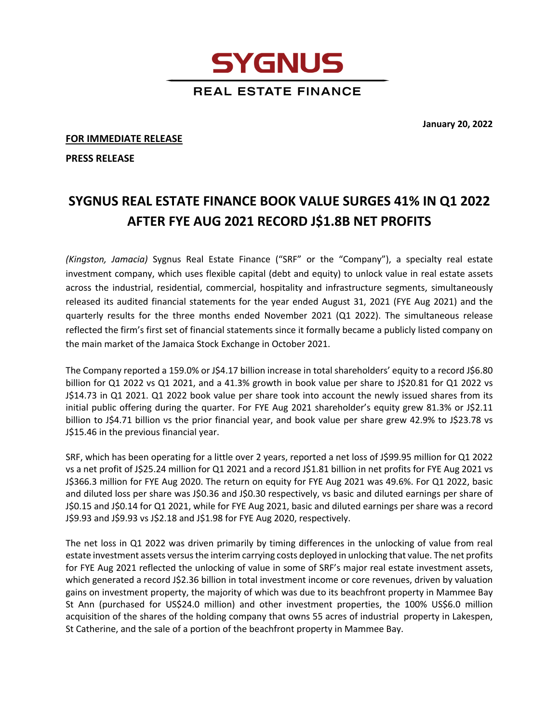**REAL ESTATE FINANCE** 

**SYGNUS** 

**FOR IMMEDIATE RELEASE**

**PRESS RELEASE**

## **SYGNUS REAL ESTATE FINANCE BOOK VALUE SURGES 41% IN Q1 2022 AFTER FYE AUG 2021 RECORD J\$1.8B NET PROFITS**

*(Kingston, Jamacia)* Sygnus Real Estate Finance ("SRF" or the "Company"), a specialty real estate investment company, which uses flexible capital (debt and equity) to unlock value in real estate assets across the industrial, residential, commercial, hospitality and infrastructure segments, simultaneously released its audited financial statements for the year ended August 31, 2021 (FYE Aug 2021) and the quarterly results for the three months ended November 2021 (Q1 2022). The simultaneous release reflected the firm's first set of financial statements since it formally became a publicly listed company on the main market of the Jamaica Stock Exchange in October 2021.

The Company reported a 159.0% or J\$4.17 billion increase in total shareholders' equity to a record J\$6.80 billion for Q1 2022 vs Q1 2021, and a 41.3% growth in book value per share to J\$20.81 for Q1 2022 vs J\$14.73 in Q1 2021. Q1 2022 book value per share took into account the newly issued shares from its initial public offering during the quarter. For FYE Aug 2021 shareholder's equity grew 81.3% or J\$2.11 billion to J\$4.71 billion vs the prior financial year, and book value per share grew 42.9% to J\$23.78 vs J\$15.46 in the previous financial year.

SRF, which has been operating for a little over 2 years, reported a net loss of J\$99.95 million for Q1 2022 vs a net profit of J\$25.24 million for Q1 2021 and a record J\$1.81 billion in net profits for FYE Aug 2021 vs J\$366.3 million for FYE Aug 2020. The return on equity for FYE Aug 2021 was 49.6%. For Q1 2022, basic and diluted loss per share was J\$0.36 and J\$0.30 respectively, vs basic and diluted earnings per share of J\$0.15 and J\$0.14 for Q1 2021, while for FYE Aug 2021, basic and diluted earnings per share was a record J\$9.93 and J\$9.93 vs J\$2.18 and J\$1.98 for FYE Aug 2020, respectively.

The net loss in Q1 2022 was driven primarily by timing differences in the unlocking of value from real estate investment assets versus the interim carrying costs deployed in unlocking that value. The net profits for FYE Aug 2021 reflected the unlocking of value in some of SRF's major real estate investment assets, which generated a record J\$2.36 billion in total investment income or core revenues, driven by valuation gains on investment property, the majority of which was due to its beachfront property in Mammee Bay St Ann (purchased for US\$24.0 million) and other investment properties, the 100% US\$6.0 million acquisition of the shares of the holding company that owns 55 acres of industrial property in Lakespen, St Catherine, and the sale of a portion of the beachfront property in Mammee Bay.

**January 20, 2022**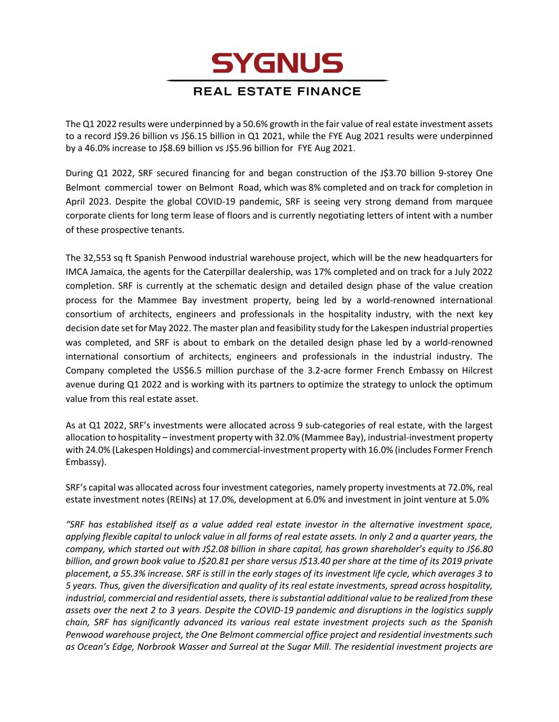## **SYGNUS**

## **REAL ESTATE FINANCE**

The Q1 2022 results were underpinned by a 50.6% growth in the fair value of real estate investment assets to a record J\$9.26 billion vs J\$6.15 billion in Q1 2021, while the FYE Aug 2021 results were underpinned by a 46.0% increase to J\$8.69 billion vs J\$5.96 billion for FYE Aug 2021.

During Q1 2022, SRF secured financing for and began construction of the J\$3.70 billion 9-storey One Belmont commercial tower on Belmont Road, which was 8% completed and on track for completion in April 2023. Despite the global COVID-19 pandemic, SRF is seeing very strong demand from marquee corporate clients for long term lease of floors and is currently negotiating letters of intent with a number of these prospective tenants.

The 32,553 sq ft Spanish Penwood industrial warehouse project, which will be the new headquarters for IMCA Jamaica, the agents for the Caterpillar dealership, was 17% completed and on track for a July 2022 completion. SRF is currently at the schematic design and detailed design phase of the value creation process for the Mammee Bay investment property, being led by a world-renowned international consortium of architects, engineers and professionals in the hospitality industry, with the next key decision date set for May 2022. The master plan and feasibility study for the Lakespen industrial properties was completed, and SRF is about to embark on the detailed design phase led by a world-renowned international consortium of architects, engineers and professionals in the industrial industry. The Company completed the US\$6.5 million purchase of the 3.2-acre former French Embassy on Hilcrest avenue during Q1 2022 and is working with its partners to optimize the strategy to unlock the optimum value from this real estate asset.

As at Q1 2022, SRF's investments were allocated across 9 sub-categories of real estate, with the largest allocation to hospitality – investment property with 32.0% (Mammee Bay), industrial-investment property with 24.0% (Lakespen Holdings) and commercial-investment property with 16.0% (includes Former French Embassy).

SRF's capital was allocated across four investment categories, namely property investments at 72.0%, real estate investment notes (REINs) at 17.0%, development at 6.0% and investment in joint venture at 5.0%

*"SRF has established itself as a value added real estate investor in the alternative investment space, applying flexible capital to unlock value in all forms of real estate assets. In only 2 and a quarter years, the company, which started out with J\$2.08 billion in share capital, has grown shareholder's equity to J\$6.80 billion, and grown book value to J\$20.81 per share versus J\$13.40 per share at the time of its 2019 private placement, a 55.3% increase. SRF is still in the early stages of its investment life cycle, which averages 3 to 5 years. Thus, given the diversification and quality of its real estate investments, spread across hospitality, industrial, commercial and residential assets, there is substantial additional value to be realized from these assets over the next 2 to 3 years. Despite the COVID-19 pandemic and disruptions in the logistics supply chain, SRF has significantly advanced its various real estate investment projects such as the Spanish Penwood warehouse project, the One Belmont commercial office project and residential investments such as Ocean's Edge, Norbrook Wasser and Surreal at the Sugar Mill. The residential investment projects are*